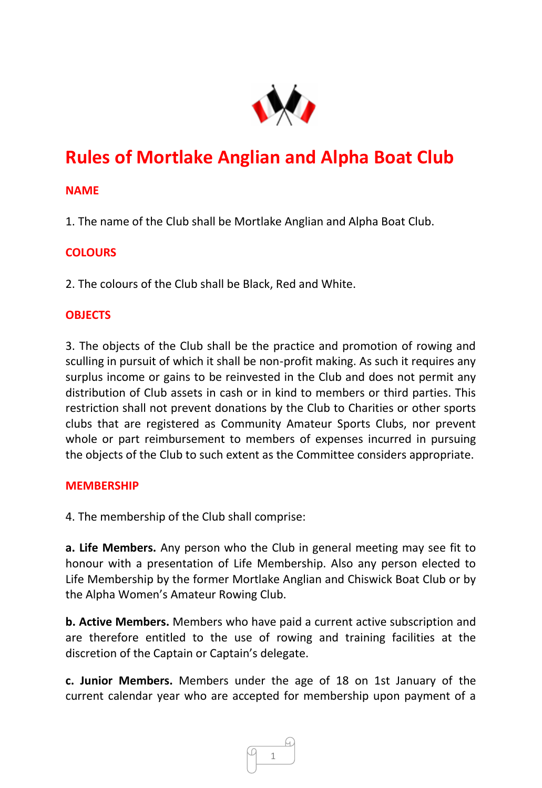

# **Rules of Mortlake Anglian and Alpha Boat Club**

# **NAME**

1. The name of the Club shall be Mortlake Anglian and Alpha Boat Club.

# **COLOURS**

2. The colours of the Club shall be Black, Red and White.

# **OBJECTS**

3. The objects of the Club shall be the practice and promotion of rowing and sculling in pursuit of which it shall be non-profit making. As such it requires any surplus income or gains to be reinvested in the Club and does not permit any distribution of Club assets in cash or in kind to members or third parties. This restriction shall not prevent donations by the Club to Charities or other sports clubs that are registered as Community Amateur Sports Clubs, nor prevent whole or part reimbursement to members of expenses incurred in pursuing the objects of the Club to such extent as the Committee considers appropriate.

# **MEMBERSHIP**

4. The membership of the Club shall comprise:

**a. Life Members.** Any person who the Club in general meeting may see fit to honour with a presentation of Life Membership. Also any person elected to Life Membership by the former Mortlake Anglian and Chiswick Boat Club or by the Alpha Women's Amateur Rowing Club.

**b. Active Members.** Members who have paid a current active subscription and are therefore entitled to the use of rowing and training facilities at the discretion of the Captain or Captain's delegate.

**c. Junior Members.** Members under the age of 18 on 1st January of the current calendar year who are accepted for membership upon payment of a

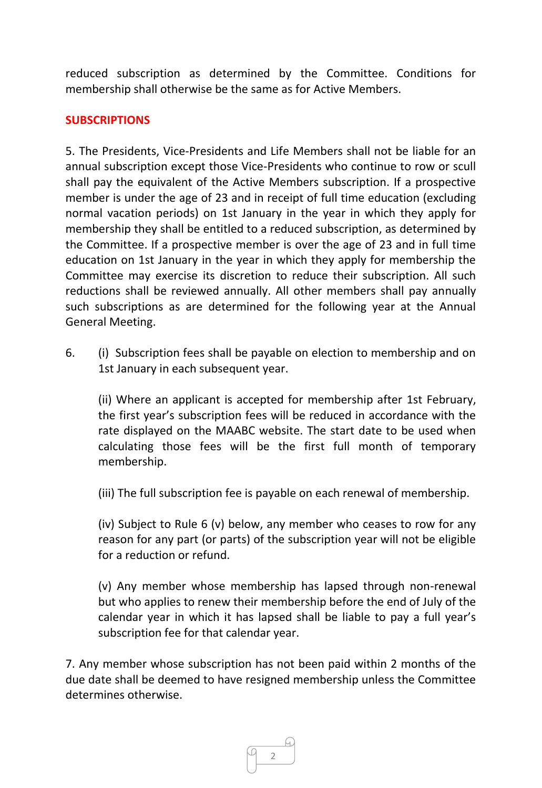reduced subscription as determined by the Committee. Conditions for membership shall otherwise be the same as for Active Members.

# **SUBSCRIPTIONS**

5. The Presidents, Vice-Presidents and Life Members shall not be liable for an annual subscription except those Vice-Presidents who continue to row or scull shall pay the equivalent of the Active Members subscription. If a prospective member is under the age of 23 and in receipt of full time education (excluding normal vacation periods) on 1st January in the year in which they apply for membership they shall be entitled to a reduced subscription, as determined by the Committee. If a prospective member is over the age of 23 and in full time education on 1st January in the year in which they apply for membership the Committee may exercise its discretion to reduce their subscription. All such reductions shall be reviewed annually. All other members shall pay annually such subscriptions as are determined for the following year at the Annual General Meeting.

6. (i) Subscription fees shall be payable on election to membership and on 1st January in each subsequent year.

(ii) Where an applicant is accepted for membership after 1st February, the first year's subscription fees will be reduced in accordance with the rate displayed on the MAABC website. The start date to be used when calculating those fees will be the first full month of temporary membership.

(iii) The full subscription fee is payable on each renewal of membership.

(iv) Subject to Rule 6 (v) below, any member who ceases to row for any reason for any part (or parts) of the subscription year will not be eligible for a reduction or refund.

(v) Any member whose membership has lapsed through non-renewal but who applies to renew their membership before the end of July of the calendar year in which it has lapsed shall be liable to pay a full year's subscription fee for that calendar year.

7. Any member whose subscription has not been paid within 2 months of the due date shall be deemed to have resigned membership unless the Committee determines otherwise.

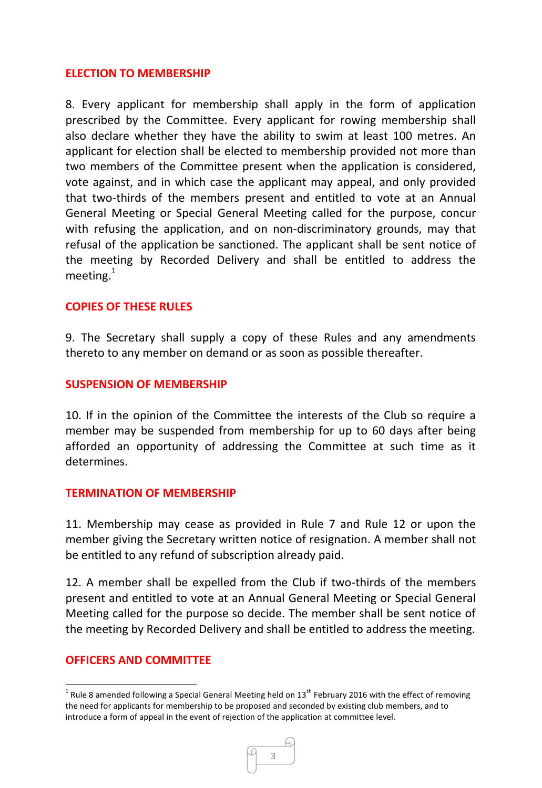#### **ELECTION TO MEMBERSHIP**

8. Every applicant for membership shall apply in the form of application prescribed by the Committee. Every applicant for rowing membership shall also declare whether they have the ability to swim at least 100 metres. An applicant for election shall be elected to membership provided not more than two members of the Committee present when the application is considered, vote against, and in which case the applicant may appeal, and only provided that two-thirds of the members present and entitled to vote at an Annual General Meeting or Special General Meeting called for the purpose, concur with refusing the application, and on non-discriminatory grounds, may that refusal of the application be sanctioned. The applicant shall be sent notice of the meeting by Recorded Delivery and shall be entitled to address the meeting. $1$ 

### **COPIES OF THESE RULES**

9. The Secretary shall supply a copy of these Rules and any amendments thereto to any member on demand or as soon as possible thereafter.

### **SUSPENSION OF MEMBERSHIP**

10. If in the opinion of the Committee the interests of the Club so require a member may be suspended from membership for up to 60 days after being afforded an opportunity of addressing the Committee at such time as it determines.

#### **TERMINATION OF MEMBERSHIP**

11. Membership may cease as provided in Rule 7 and Rule 12 or upon the member giving the Secretary written notice of resignation. A member shall not be entitled to any refund of subscription already paid.

12. A member shall be expelled from the Club if two-thirds of the members present and entitled to vote at an Annual General Meeting or Special General Meeting called for the purpose so decide. The member shall be sent notice of the meeting by Recorded Delivery and shall be entitled to address the meeting.

#### **OFFICERS AND COMMITTEE**

**.** 

<sup>&</sup>lt;sup>1</sup> Rule 8 amended following a Special General Meeting held on 13<sup>th</sup> February 2016 with the effect of removing the need for applicants for membership to be proposed and seconded by existing club members, and to introduce a form of appeal in the event of rejection of the application at committee level.

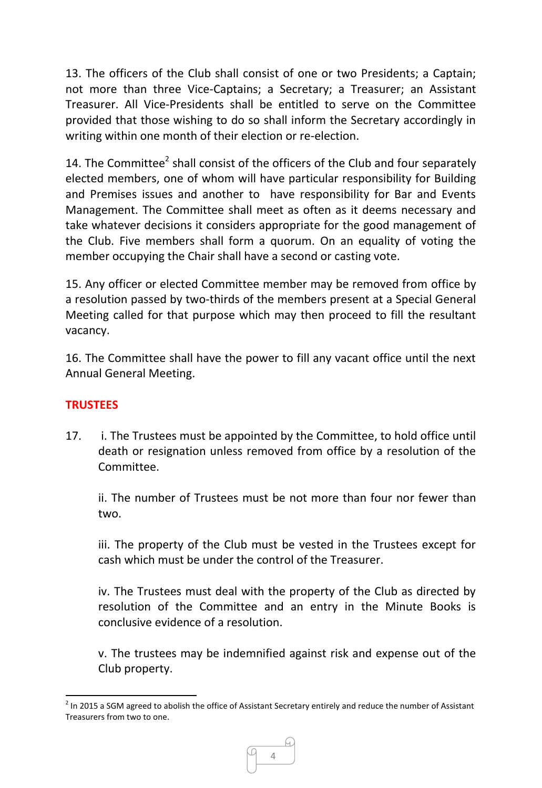13. The officers of the Club shall consist of one or two Presidents; a Captain; not more than three Vice-Captains; a Secretary; a Treasurer; an Assistant Treasurer. All Vice-Presidents shall be entitled to serve on the Committee provided that those wishing to do so shall inform the Secretary accordingly in writing within one month of their election or re-election.

14. The Committee<sup>2</sup> shall consist of the officers of the Club and four separately elected members, one of whom will have particular responsibility for Building and Premises issues and another to have responsibility for Bar and Events Management. The Committee shall meet as often as it deems necessary and take whatever decisions it considers appropriate for the good management of the Club. Five members shall form a quorum. On an equality of voting the member occupying the Chair shall have a second or casting vote.

15. Any officer or elected Committee member may be removed from office by a resolution passed by two-thirds of the members present at a Special General Meeting called for that purpose which may then proceed to fill the resultant vacancy.

16. The Committee shall have the power to fill any vacant office until the next Annual General Meeting.

# **TRUSTEES**

17. i. The Trustees must be appointed by the Committee, to hold office until death or resignation unless removed from office by a resolution of the Committee.

ii. The number of Trustees must be not more than four nor fewer than two.

iii. The property of the Club must be vested in the Trustees except for cash which must be under the control of the Treasurer.

iv. The Trustees must deal with the property of the Club as directed by resolution of the Committee and an entry in the Minute Books is conclusive evidence of a resolution.

v. The trustees may be indemnified against risk and expense out of the Club property.

 $\overline{a}$  $2$  In 2015 a SGM agreed to abolish the office of Assistant Secretary entirely and reduce the number of Assistant Treasurers from two to one.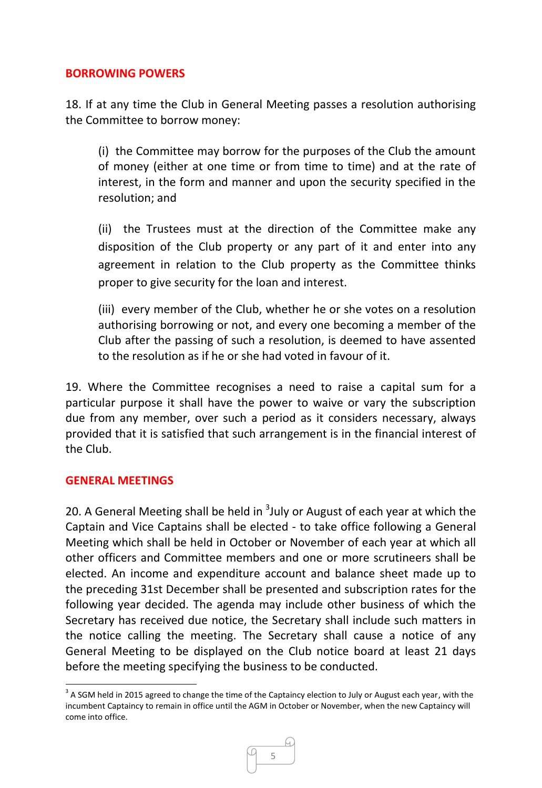# **BORROWING POWERS**

18. If at any time the Club in General Meeting passes a resolution authorising the Committee to borrow money:

(i) the Committee may borrow for the purposes of the Club the amount of money (either at one time or from time to time) and at the rate of interest, in the form and manner and upon the security specified in the resolution; and

(ii) the Trustees must at the direction of the Committee make any disposition of the Club property or any part of it and enter into any agreement in relation to the Club property as the Committee thinks proper to give security for the loan and interest.

(iii) every member of the Club, whether he or she votes on a resolution authorising borrowing or not, and every one becoming a member of the Club after the passing of such a resolution, is deemed to have assented to the resolution as if he or she had voted in favour of it.

19. Where the Committee recognises a need to raise a capital sum for a particular purpose it shall have the power to waive or vary the subscription due from any member, over such a period as it considers necessary, always provided that it is satisfied that such arrangement is in the financial interest of the Club.

#### **GENERAL MEETINGS**

**.** 

20. A General Meeting shall be held in <sup>3</sup>July or August of each year at which the Captain and Vice Captains shall be elected - to take office following a General Meeting which shall be held in October or November of each year at which all other officers and Committee members and one or more scrutineers shall be elected. An income and expenditure account and balance sheet made up to the preceding 31st December shall be presented and subscription rates for the following year decided. The agenda may include other business of which the Secretary has received due notice, the Secretary shall include such matters in the notice calling the meeting. The Secretary shall cause a notice of any General Meeting to be displayed on the Club notice board at least 21 days before the meeting specifying the business to be conducted.

 $3$  A SGM held in 2015 agreed to change the time of the Captaincy election to July or August each year, with the incumbent Captaincy to remain in office until the AGM in October or November, when the new Captaincy will come into office.

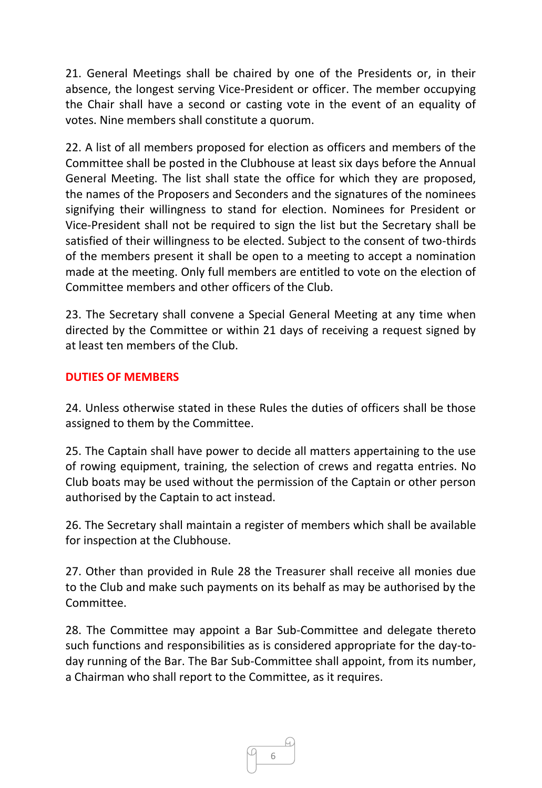21. General Meetings shall be chaired by one of the Presidents or, in their absence, the longest serving Vice-President or officer. The member occupying the Chair shall have a second or casting vote in the event of an equality of votes. Nine members shall constitute a quorum.

22. A list of all members proposed for election as officers and members of the Committee shall be posted in the Clubhouse at least six days before the Annual General Meeting. The list shall state the office for which they are proposed, the names of the Proposers and Seconders and the signatures of the nominees signifying their willingness to stand for election. Nominees for President or Vice-President shall not be required to sign the list but the Secretary shall be satisfied of their willingness to be elected. Subject to the consent of two-thirds of the members present it shall be open to a meeting to accept a nomination made at the meeting. Only full members are entitled to vote on the election of Committee members and other officers of the Club.

23. The Secretary shall convene a Special General Meeting at any time when directed by the Committee or within 21 days of receiving a request signed by at least ten members of the Club.

# **DUTIES OF MEMBERS**

24. Unless otherwise stated in these Rules the duties of officers shall be those assigned to them by the Committee.

25. The Captain shall have power to decide all matters appertaining to the use of rowing equipment, training, the selection of crews and regatta entries. No Club boats may be used without the permission of the Captain or other person authorised by the Captain to act instead.

26. The Secretary shall maintain a register of members which shall be available for inspection at the Clubhouse.

27. Other than provided in Rule 28 the Treasurer shall receive all monies due to the Club and make such payments on its behalf as may be authorised by the Committee.

28. The Committee may appoint a Bar Sub-Committee and delegate thereto such functions and responsibilities as is considered appropriate for the day-today running of the Bar. The Bar Sub-Committee shall appoint, from its number, a Chairman who shall report to the Committee, as it requires.

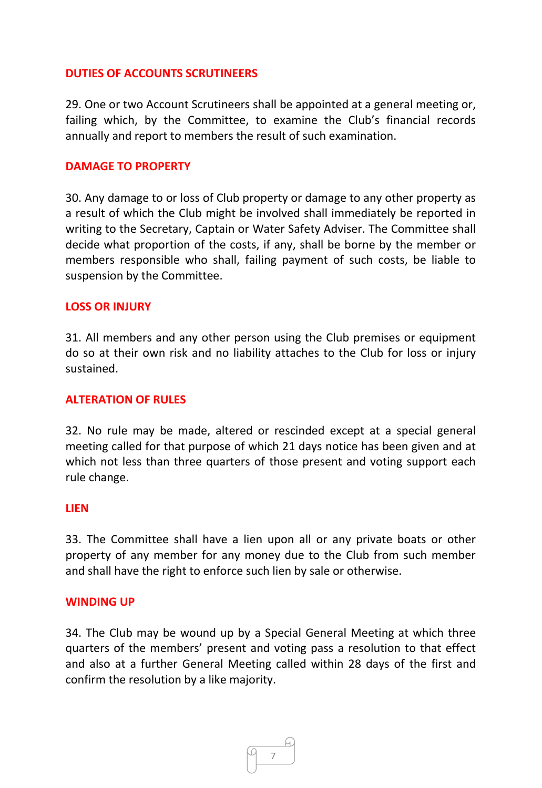## **DUTIES OF ACCOUNTS SCRUTINEERS**

29. One or two Account Scrutineers shall be appointed at a general meeting or, failing which, by the Committee, to examine the Club's financial records annually and report to members the result of such examination.

#### **DAMAGE TO PROPERTY**

30. Any damage to or loss of Club property or damage to any other property as a result of which the Club might be involved shall immediately be reported in writing to the Secretary, Captain or Water Safety Adviser. The Committee shall decide what proportion of the costs, if any, shall be borne by the member or members responsible who shall, failing payment of such costs, be liable to suspension by the Committee.

### **LOSS OR INJURY**

31. All members and any other person using the Club premises or equipment do so at their own risk and no liability attaches to the Club for loss or injury sustained.

## **ALTERATION OF RULES**

32. No rule may be made, altered or rescinded except at a special general meeting called for that purpose of which 21 days notice has been given and at which not less than three quarters of those present and voting support each rule change.

#### **LIEN**

33. The Committee shall have a lien upon all or any private boats or other property of any member for any money due to the Club from such member and shall have the right to enforce such lien by sale or otherwise.

#### **WINDING UP**

34. The Club may be wound up by a Special General Meeting at which three quarters of the members' present and voting pass a resolution to that effect and also at a further General Meeting called within 28 days of the first and confirm the resolution by a like majority.

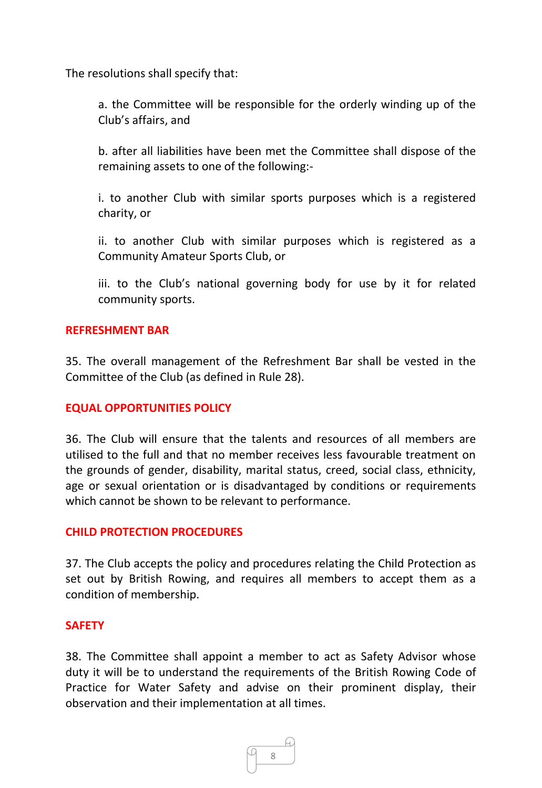The resolutions shall specify that:

a. the Committee will be responsible for the orderly winding up of the Club's affairs, and

b. after all liabilities have been met the Committee shall dispose of the remaining assets to one of the following:-

i. to another Club with similar sports purposes which is a registered charity, or

ii. to another Club with similar purposes which is registered as a Community Amateur Sports Club, or

iii. to the Club's national governing body for use by it for related community sports.

# **REFRESHMENT BAR**

35. The overall management of the Refreshment Bar shall be vested in the Committee of the Club (as defined in Rule 28).

# **EQUAL OPPORTUNITIES POLICY**

36. The Club will ensure that the talents and resources of all members are utilised to the full and that no member receives less favourable treatment on the grounds of gender, disability, marital status, creed, social class, ethnicity, age or sexual orientation or is disadvantaged by conditions or requirements which cannot be shown to be relevant to performance.

# **CHILD PROTECTION PROCEDURES**

37. The Club accepts the policy and procedures relating the Child Protection as set out by British Rowing, and requires all members to accept them as a condition of membership.

# **SAFETY**

38. The Committee shall appoint a member to act as Safety Advisor whose duty it will be to understand the requirements of the British Rowing Code of Practice for Water Safety and advise on their prominent display, their observation and their implementation at all times.

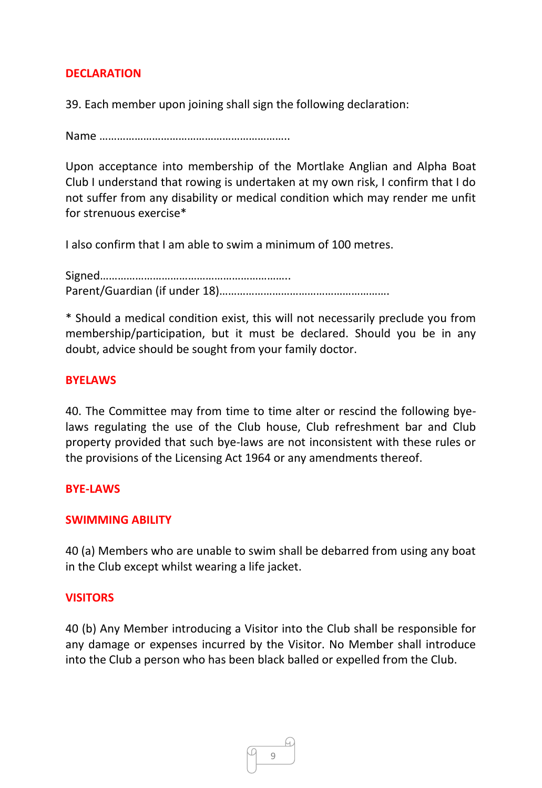# **DECLARATION**

39. Each member upon joining shall sign the following declaration:

Name ………………………………………………………..

Upon acceptance into membership of the Mortlake Anglian and Alpha Boat Club I understand that rowing is undertaken at my own risk, I confirm that I do not suffer from any disability or medical condition which may render me unfit for strenuous exercise\*

I also confirm that I am able to swim a minimum of 100 metres.

Signed……………………………………………………….. Parent/Guardian (if under 18)………………………………………………….

\* Should a medical condition exist, this will not necessarily preclude you from membership/participation, but it must be declared. Should you be in any doubt, advice should be sought from your family doctor.

# **BYELAWS**

40. The Committee may from time to time alter or rescind the following byelaws regulating the use of the Club house, Club refreshment bar and Club property provided that such bye-laws are not inconsistent with these rules or the provisions of the Licensing Act 1964 or any amendments thereof.

# **BYE-LAWS**

# **SWIMMING ABILITY**

40 (a) Members who are unable to swim shall be debarred from using any boat in the Club except whilst wearing a life jacket.

# **VISITORS**

40 (b) Any Member introducing a Visitor into the Club shall be responsible for any damage or expenses incurred by the Visitor. No Member shall introduce into the Club a person who has been black balled or expelled from the Club.

9